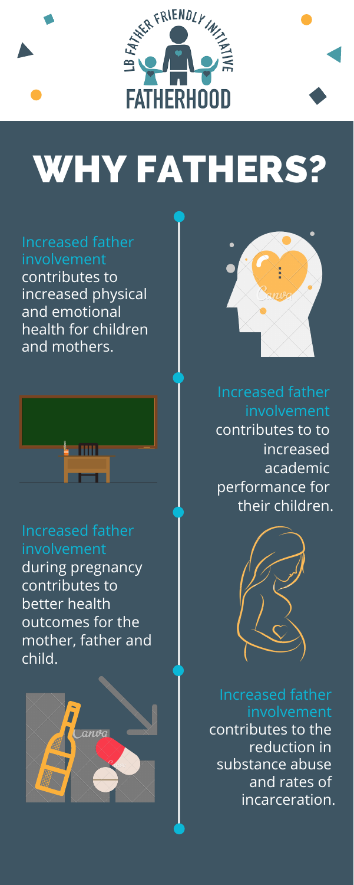

# WHY FATHERS?

Increased father involvement contributes to increased physical and emotional health for children and mothers.





Increased father involvement contributes to to increased academic performance for their children.



Increased father involvement during pregnancy contributes to better health outcomes for the mother, father and child.





Increased father involvement contributes to the reduction in substance abuse and rates of incarceration.